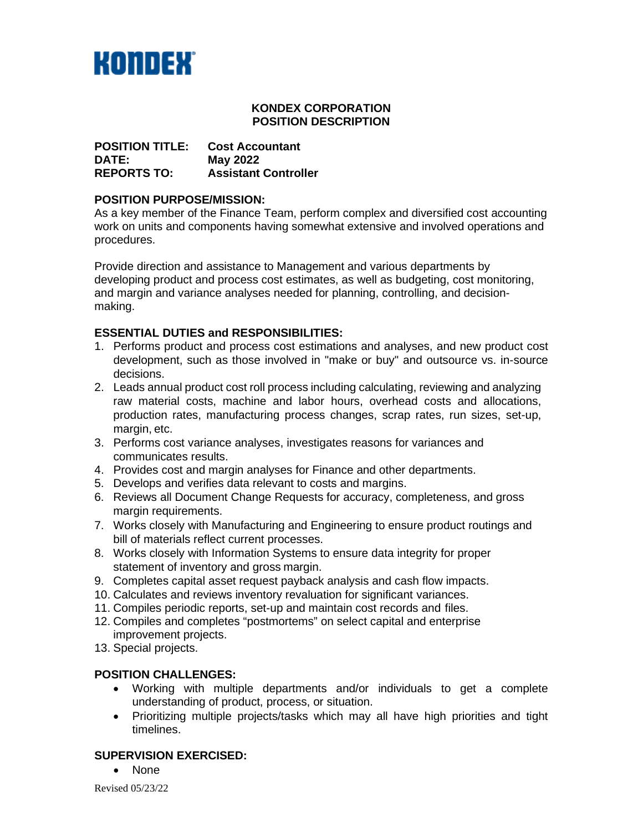

# **KONDEX CORPORATION POSITION DESCRIPTION**

**POSITION TITLE: Cost Accountant DATE: May 2022 Assistant Controller** 

## **POSITION PURPOSE/MISSION:**

As a key member of the Finance Team, perform complex and diversified cost accounting work on units and components having somewhat extensive and involved operations and procedures.

Provide direction and assistance to Management and various departments by developing product and process cost estimates, as well as budgeting, cost monitoring, and margin and variance analyses needed for planning, controlling, and decisionmaking.

# **ESSENTIAL DUTIES and RESPONSIBILITIES:**

- 1. Performs product and process cost estimations and analyses, and new product cost development, such as those involved in "make or buy" and outsource vs. in-source decisions.
- 2. Leads annual product cost roll process including calculating, reviewing and analyzing raw material costs, machine and labor hours, overhead costs and allocations, production rates, manufacturing process changes, scrap rates, run sizes, set-up, margin, etc.
- 3. Performs cost variance analyses, investigates reasons for variances and communicates results.
- 4. Provides cost and margin analyses for Finance and other departments.
- 5. Develops and verifies data relevant to costs and margins.
- 6. Reviews all Document Change Requests for accuracy, completeness, and gross margin requirements.
- 7. Works closely with Manufacturing and Engineering to ensure product routings and bill of materials reflect current processes.
- 8. Works closely with Information Systems to ensure data integrity for proper statement of inventory and gross margin.
- 9. Completes capital asset request payback analysis and cash flow impacts.
- 10. Calculates and reviews inventory revaluation for significant variances.
- 11. Compiles periodic reports, set-up and maintain cost records and files.
- 12. Compiles and completes "postmortems" on select capital and enterprise improvement projects.
- 13. Special projects.

#### **POSITION CHALLENGES:**

- Working with multiple departments and/or individuals to get a complete understanding of product, process, or situation.
- Prioritizing multiple projects/tasks which may all have high priorities and tight timelines.

# **SUPERVISION EXERCISED:**

• None